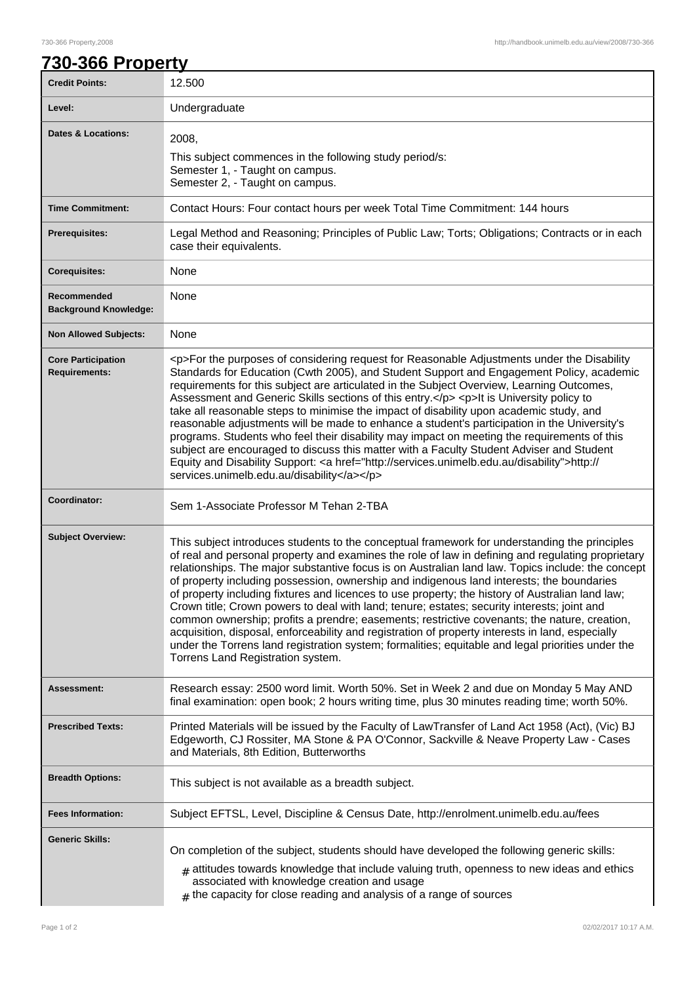## **730-366 Property**

| <b>Credit Points:</b>                             | 12.500                                                                                                                                                                                                                                                                                                                                                                                                                                                                                                                                                                                                                                                                                                                                                                                                                                                                                                                                                |
|---------------------------------------------------|-------------------------------------------------------------------------------------------------------------------------------------------------------------------------------------------------------------------------------------------------------------------------------------------------------------------------------------------------------------------------------------------------------------------------------------------------------------------------------------------------------------------------------------------------------------------------------------------------------------------------------------------------------------------------------------------------------------------------------------------------------------------------------------------------------------------------------------------------------------------------------------------------------------------------------------------------------|
| Level:                                            | Undergraduate                                                                                                                                                                                                                                                                                                                                                                                                                                                                                                                                                                                                                                                                                                                                                                                                                                                                                                                                         |
| <b>Dates &amp; Locations:</b>                     | 2008,<br>This subject commences in the following study period/s:<br>Semester 1, - Taught on campus.<br>Semester 2, - Taught on campus.                                                                                                                                                                                                                                                                                                                                                                                                                                                                                                                                                                                                                                                                                                                                                                                                                |
| <b>Time Commitment:</b>                           | Contact Hours: Four contact hours per week Total Time Commitment: 144 hours                                                                                                                                                                                                                                                                                                                                                                                                                                                                                                                                                                                                                                                                                                                                                                                                                                                                           |
| <b>Prerequisites:</b>                             | Legal Method and Reasoning; Principles of Public Law; Torts; Obligations; Contracts or in each<br>case their equivalents.                                                                                                                                                                                                                                                                                                                                                                                                                                                                                                                                                                                                                                                                                                                                                                                                                             |
| <b>Corequisites:</b>                              | None                                                                                                                                                                                                                                                                                                                                                                                                                                                                                                                                                                                                                                                                                                                                                                                                                                                                                                                                                  |
| Recommended<br><b>Background Knowledge:</b>       | None                                                                                                                                                                                                                                                                                                                                                                                                                                                                                                                                                                                                                                                                                                                                                                                                                                                                                                                                                  |
| <b>Non Allowed Subjects:</b>                      | None                                                                                                                                                                                                                                                                                                                                                                                                                                                                                                                                                                                                                                                                                                                                                                                                                                                                                                                                                  |
| <b>Core Participation</b><br><b>Requirements:</b> | <p>For the purposes of considering request for Reasonable Adjustments under the Disability<br/>Standards for Education (Cwth 2005), and Student Support and Engagement Policy, academic<br/>requirements for this subject are articulated in the Subject Overview, Learning Outcomes,<br/>Assessment and Generic Skills sections of this entry.</p> <p>lt is University policy to<br/>take all reasonable steps to minimise the impact of disability upon academic study, and<br/>reasonable adjustments will be made to enhance a student's participation in the University's<br/>programs. Students who feel their disability may impact on meeting the requirements of this<br/>subject are encouraged to discuss this matter with a Faculty Student Adviser and Student<br/>Equity and Disability Support: &lt; a href="http://services.unimelb.edu.au/disability"&gt;http://<br/>services.unimelb.edu.au/disability</p>                          |
| Coordinator:                                      | Sem 1-Associate Professor M Tehan 2-TBA                                                                                                                                                                                                                                                                                                                                                                                                                                                                                                                                                                                                                                                                                                                                                                                                                                                                                                               |
| <b>Subject Overview:</b>                          | This subject introduces students to the conceptual framework for understanding the principles<br>of real and personal property and examines the role of law in defining and regulating proprietary<br>relationships. The major substantive focus is on Australian land law. Topics include: the concept<br>of property including possession, ownership and indigenous land interests; the boundaries<br>of property including fixtures and licences to use property; the history of Australian land law;<br>Crown title; Crown powers to deal with land; tenure; estates; security interests; joint and<br>common ownership; profits a prendre; easements; restrictive covenants; the nature, creation,<br>acquisition, disposal, enforceability and registration of property interests in land, especially<br>under the Torrens land registration system; formalities; equitable and legal priorities under the<br>Torrens Land Registration system. |
| Assessment:                                       | Research essay: 2500 word limit. Worth 50%. Set in Week 2 and due on Monday 5 May AND<br>final examination: open book; 2 hours writing time, plus 30 minutes reading time; worth 50%.                                                                                                                                                                                                                                                                                                                                                                                                                                                                                                                                                                                                                                                                                                                                                                 |
| <b>Prescribed Texts:</b>                          | Printed Materials will be issued by the Faculty of LawTransfer of Land Act 1958 (Act), (Vic) BJ<br>Edgeworth, CJ Rossiter, MA Stone & PA O'Connor, Sackville & Neave Property Law - Cases<br>and Materials, 8th Edition, Butterworths                                                                                                                                                                                                                                                                                                                                                                                                                                                                                                                                                                                                                                                                                                                 |
| <b>Breadth Options:</b>                           | This subject is not available as a breadth subject.                                                                                                                                                                                                                                                                                                                                                                                                                                                                                                                                                                                                                                                                                                                                                                                                                                                                                                   |
| <b>Fees Information:</b>                          | Subject EFTSL, Level, Discipline & Census Date, http://enrolment.unimelb.edu.au/fees                                                                                                                                                                                                                                                                                                                                                                                                                                                                                                                                                                                                                                                                                                                                                                                                                                                                  |
| <b>Generic Skills:</b>                            | On completion of the subject, students should have developed the following generic skills:<br>$#$ attitudes towards knowledge that include valuing truth, openness to new ideas and ethics<br>associated with knowledge creation and usage<br>$#$ the capacity for close reading and analysis of a range of sources                                                                                                                                                                                                                                                                                                                                                                                                                                                                                                                                                                                                                                   |